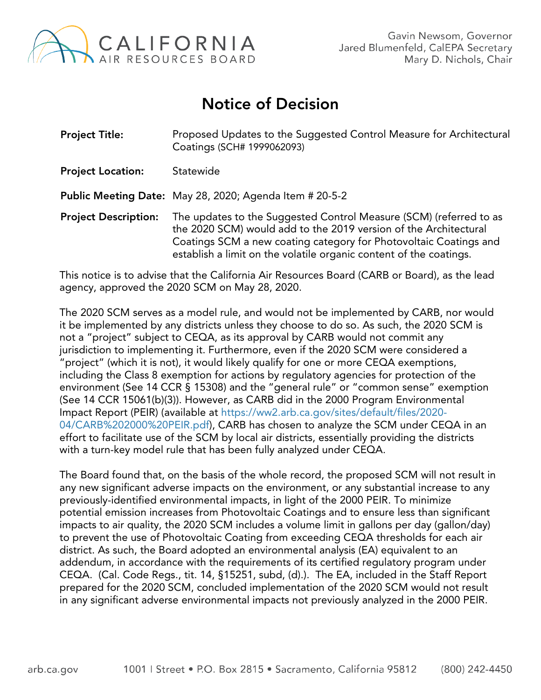

## Notice of Decision

| <b>Project Title:</b>       | Proposed Updates to the Suggested Control Measure for Architectural<br>Coatings (SCH# 1999062093)                                                                                                                                                                                 |
|-----------------------------|-----------------------------------------------------------------------------------------------------------------------------------------------------------------------------------------------------------------------------------------------------------------------------------|
| <b>Project Location:</b>    | Statewide                                                                                                                                                                                                                                                                         |
|                             | <b>Public Meeting Date:</b> May 28, 2020; Agenda Item # 20-5-2                                                                                                                                                                                                                    |
| <b>Project Description:</b> | The updates to the Suggested Control Measure (SCM) (referred to as<br>the 2020 SCM) would add to the 2019 version of the Architectural<br>Coatings SCM a new coating category for Photovoltaic Coatings and<br>establish a limit on the volatile organic content of the coatings. |

This notice is to advise that the California Air Resources Board (CARB or Board), as the lead agency, approved the 2020 SCM on May 28, 2020.

The 2020 SCM serves as a model rule, and would not be implemented by CARB, nor would it be implemented by any districts unless they choose to do so. As such, the 2020 SCM is not a "project" subject to CEQA, as its approval by CARB would not commit any jurisdiction to implementing it. Furthermore, even if the 2020 SCM were considered a "project" (which it is not), it would likely qualify for one or more CEQA exemptions, including the Class 8 exemption for actions by regulatory agencies for protection of the environment (See 14 CCR § 15308) and the "general rule" or "common sense" exemption (See 14 CCR 15061(b)(3)). However, as CARB did in the 2000 Program Environmental Impact Report (PEIR) (available at [https://ww2.arb.ca.gov/sites/default/files/2020-](https://ww2.arb.ca.gov/sites/default/files/2020-04/CARB%202000%20PEIR.pdf) [04/CARB%202000%20PEIR.pdf\)](https://ww2.arb.ca.gov/sites/default/files/2020-04/CARB%202000%20PEIR.pdf), CARB has chosen to analyze the SCM under CEQA in an effort to facilitate use of the SCM by local air districts, essentially providing the districts with a turn-key model rule that has been fully analyzed under CEQA.

The Board found that, on the basis of the whole record, the proposed SCM will not result in any new significant adverse impacts on the environment, or any substantial increase to any previously-identified environmental impacts, in light of the 2000 PEIR. To minimize potential emission increases from Photovoltaic Coatings and to ensure less than significant impacts to air quality, the 2020 SCM includes a volume limit in gallons per day (gallon/day) to prevent the use of Photovoltaic Coating from exceeding CEQA thresholds for each air district. As such, the Board adopted an environmental analysis (EA) equivalent to an addendum, in accordance with the requirements of its certified regulatory program under CEQA. (Cal. Code Regs., tit. 14, §15251, subd, (d).). The EA, included in the Staff Report prepared for the 2020 SCM, concluded implementation of the 2020 SCM would not result in any significant adverse environmental impacts not previously analyzed in the 2000 PEIR.